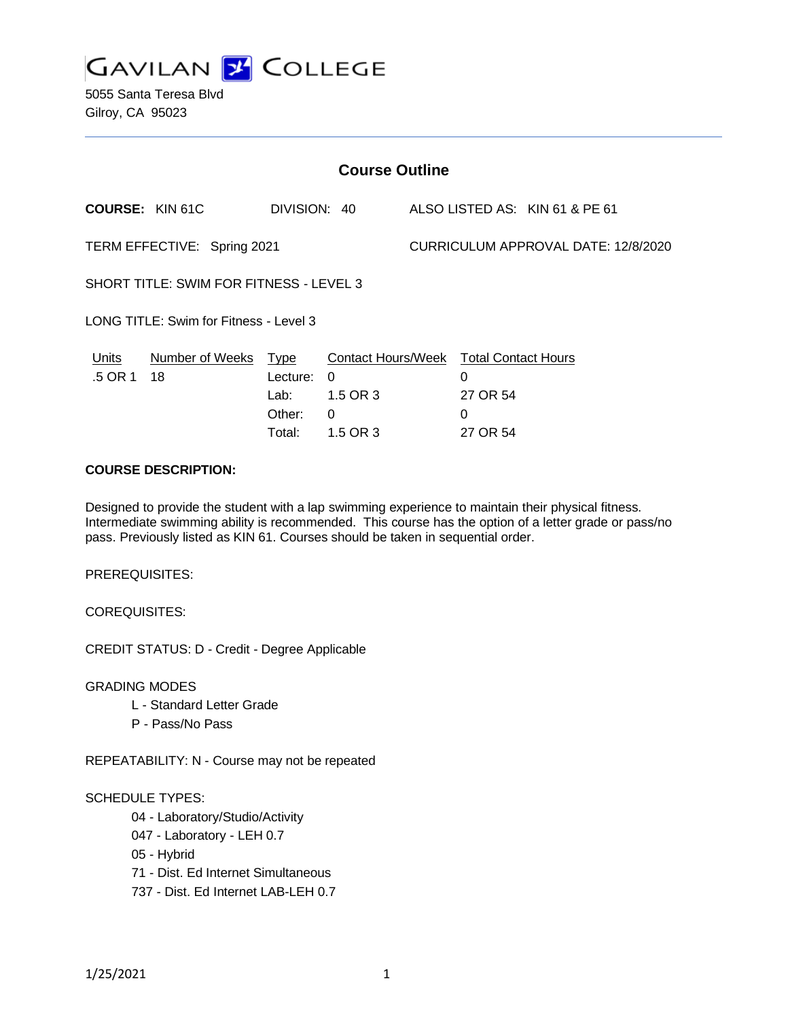

5055 Santa Teresa Blvd Gilroy, CA 95023

| <b>Course Outline</b>                   |                        |              |                           |                                     |                            |                                |
|-----------------------------------------|------------------------|--------------|---------------------------|-------------------------------------|----------------------------|--------------------------------|
| <b>COURSE: KIN 61C</b>                  |                        | DIVISION: 40 |                           |                                     |                            | ALSO LISTED AS: KIN 61 & PE 61 |
| TERM EFFECTIVE: Spring 2021             |                        |              |                           | CURRICULUM APPROVAL DATE: 12/8/2020 |                            |                                |
| SHORT TITLE: SWIM FOR FITNESS - LEVEL 3 |                        |              |                           |                                     |                            |                                |
| LONG TITLE: Swim for Fitness - Level 3  |                        |              |                           |                                     |                            |                                |
| Units                                   | <b>Number of Weeks</b> | <u>Type</u>  | <b>Contact Hours/Week</b> |                                     | <b>Total Contact Hours</b> |                                |
| .5 OR 1                                 | 18                     | Lecture:     | $\Omega$                  |                                     | 0                          |                                |
|                                         |                        | Lab:         | 1.5 OR 3                  |                                     | 27 OR 54                   |                                |
|                                         |                        | Other:       | 0                         |                                     | 0                          |                                |
|                                         |                        | Total:       | 1.5 OR 3                  |                                     | 27 OR 54                   |                                |

# **COURSE DESCRIPTION:**

Designed to provide the student with a lap swimming experience to maintain their physical fitness. Intermediate swimming ability is recommended. This course has the option of a letter grade or pass/no pass. Previously listed as KIN 61. Courses should be taken in sequential order.

PREREQUISITES:

COREQUISITES:

CREDIT STATUS: D - Credit - Degree Applicable

GRADING MODES

- L Standard Letter Grade
- P Pass/No Pass

REPEATABILITY: N - Course may not be repeated

#### SCHEDULE TYPES:

04 - Laboratory/Studio/Activity

- 047 Laboratory LEH 0.7
- 05 Hybrid
- 71 Dist. Ed Internet Simultaneous
- 737 Dist. Ed Internet LAB-LEH 0.7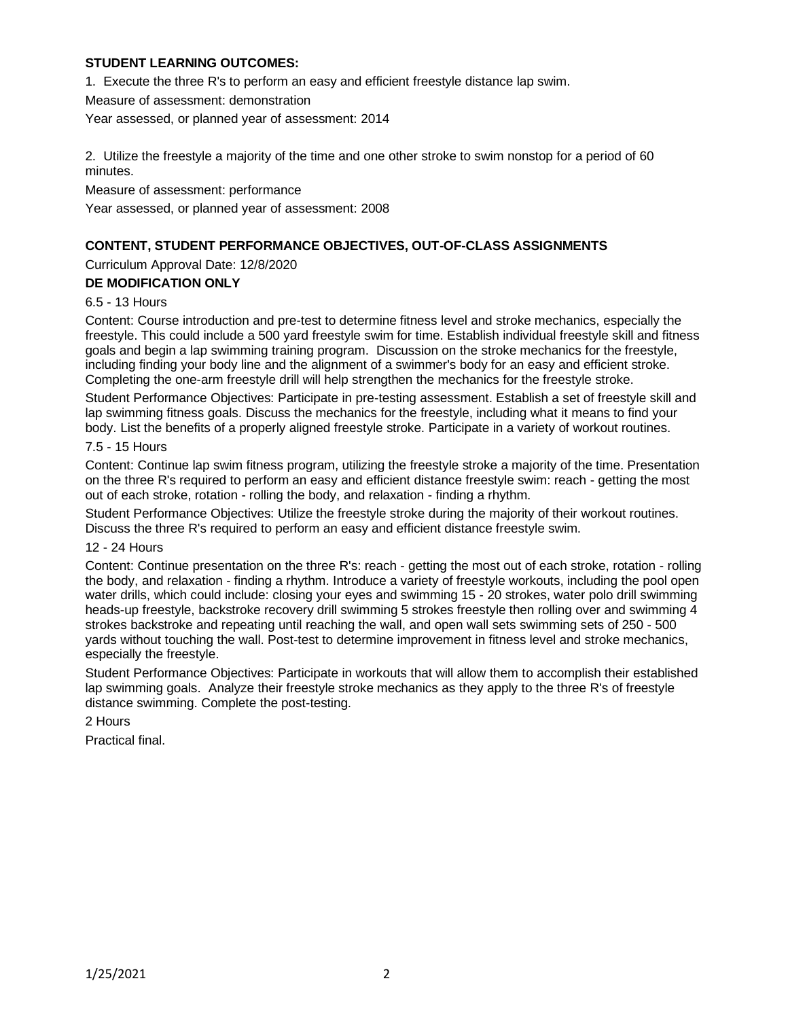# **STUDENT LEARNING OUTCOMES:**

1. Execute the three R's to perform an easy and efficient freestyle distance lap swim.

Measure of assessment: demonstration

Year assessed, or planned year of assessment: 2014

2. Utilize the freestyle a majority of the time and one other stroke to swim nonstop for a period of 60 minutes.

Measure of assessment: performance

Year assessed, or planned year of assessment: 2008

# **CONTENT, STUDENT PERFORMANCE OBJECTIVES, OUT-OF-CLASS ASSIGNMENTS**

Curriculum Approval Date: 12/8/2020

# **DE MODIFICATION ONLY**

### 6.5 - 13 Hours

Content: Course introduction and pre-test to determine fitness level and stroke mechanics, especially the freestyle. This could include a 500 yard freestyle swim for time. Establish individual freestyle skill and fitness goals and begin a lap swimming training program. Discussion on the stroke mechanics for the freestyle, including finding your body line and the alignment of a swimmer's body for an easy and efficient stroke. Completing the one-arm freestyle drill will help strengthen the mechanics for the freestyle stroke.

Student Performance Objectives: Participate in pre-testing assessment. Establish a set of freestyle skill and lap swimming fitness goals. Discuss the mechanics for the freestyle, including what it means to find your body. List the benefits of a properly aligned freestyle stroke. Participate in a variety of workout routines.

### 7.5 - 15 Hours

Content: Continue lap swim fitness program, utilizing the freestyle stroke a majority of the time. Presentation on the three R's required to perform an easy and efficient distance freestyle swim: reach - getting the most out of each stroke, rotation - rolling the body, and relaxation - finding a rhythm.

Student Performance Objectives: Utilize the freestyle stroke during the majority of their workout routines. Discuss the three R's required to perform an easy and efficient distance freestyle swim.

#### 12 - 24 Hours

Content: Continue presentation on the three R's: reach - getting the most out of each stroke, rotation - rolling the body, and relaxation - finding a rhythm. Introduce a variety of freestyle workouts, including the pool open water drills, which could include: closing your eyes and swimming 15 - 20 strokes, water polo drill swimming heads-up freestyle, backstroke recovery drill swimming 5 strokes freestyle then rolling over and swimming 4 strokes backstroke and repeating until reaching the wall, and open wall sets swimming sets of 250 - 500 yards without touching the wall. Post-test to determine improvement in fitness level and stroke mechanics, especially the freestyle.

Student Performance Objectives: Participate in workouts that will allow them to accomplish their established lap swimming goals. Analyze their freestyle stroke mechanics as they apply to the three R's of freestyle distance swimming. Complete the post-testing.

### 2 Hours

Practical final.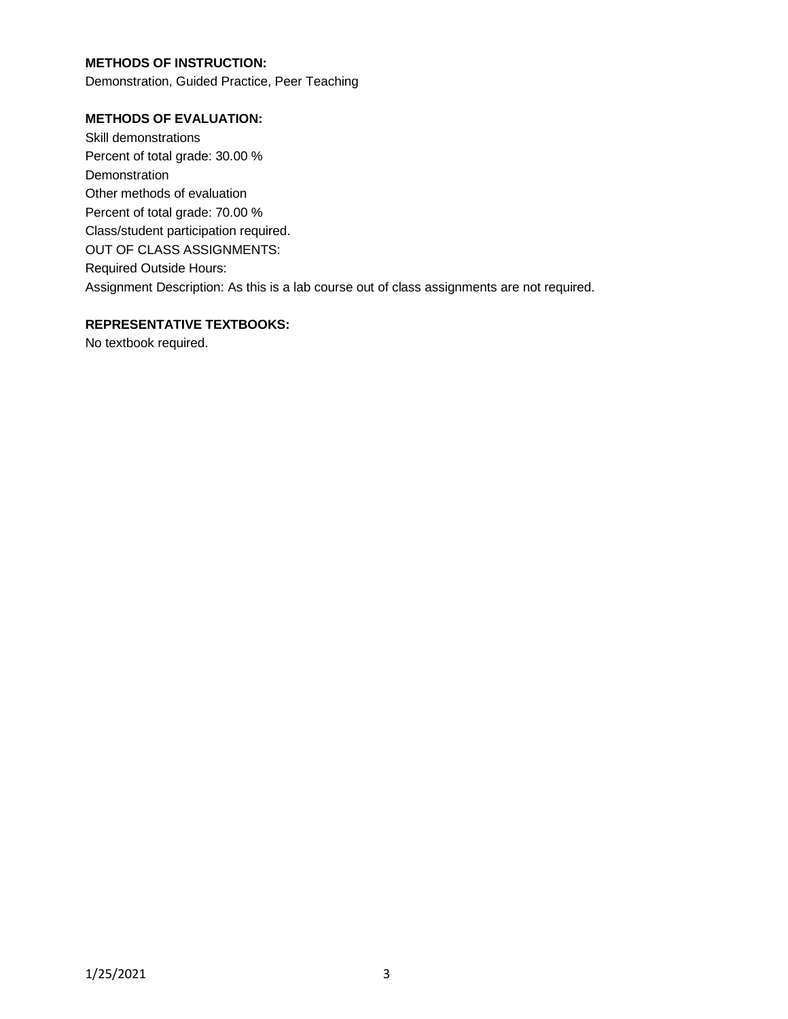# **METHODS OF INSTRUCTION:**

Demonstration, Guided Practice, Peer Teaching

# **METHODS OF EVALUATION:**

Skill demonstrations Percent of total grade: 30.00 % Demonstration Other methods of evaluation Percent of total grade: 70.00 % Class/student participation required. OUT OF CLASS ASSIGNMENTS: Required Outside Hours: Assignment Description: As this is a lab course out of class assignments are not required.

### **REPRESENTATIVE TEXTBOOKS:**

No textbook required.